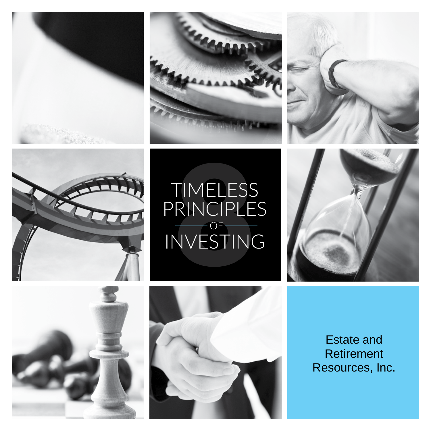







# TIMELESS<br>RINCIPLE<br>VVESTINO TIMELESS PRINCIPLES INVESTING OF







Estate and Retirement Resources, Inc.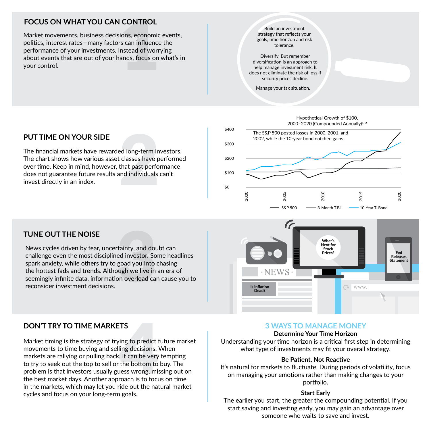# **FOCUS ON WHAT YOU CAN CONTROL**

**CONTROL**<br>ions, economic<br>s can influence<br>nstead of worr<br>ands, focus on Market movements, business decisions, economic events, politics, interest rates—many factors can influence the performance of your investments. Instead of worrying about events that are out of your hands, focus on what's in your control.

Build an investment strategy that reflects your goals, time horizon and risk tolerance.

Diversify. But remember diversification is an approach to help manage investment risk. It does not eliminate the risk of loss if security prices decline.

Manage your tax situation.

# **PUT TIME ON YOUR SIDE**

ed long-term in<br>classes have p<br>that past perfo<br>ind individuals The financial markets have rewarded long-term investors. The chart shows how various asset classes have performed over time. Keep in mind, however, that past performance does not guarantee future results and individuals can't invest directly in an index.



# **TUNE OUT THE NOISE**

tainty, and dou<br>ed investor. So<br>goad you into<br>ough we live in<br>on overload ca News cycles driven by fear, uncertainty, and doubt can challenge even the most disciplined investor. Some headlines spark anxiety, while others try to goad you into chasing the hottest fads and trends. Although we live in an era of seemingly infinite data, information overload can cause you to reconsider investment decisions.



# **DON'T TRY TO TIME MARKETS**

**TS**<br>ing to predict f<br>ling decisions. \<br>, it can be very<br>the bottom to<br>uess wrong, mis<br>roach is to focu<br>ide out the nat Market timing is the strategy of trying to predict future market movements to time buying and selling decisions. When markets are rallying or pulling back, it can be very tempting to try to seek out the top to sell or the bottom to buy. The problem is that investors usually guess wrong, missing out on the best market days. Another approach is to focus on time in the markets, which may let you ride out the natural market cycles and focus on your long-term goals.

## **3 WAYS TO MANAGE MONEY**

### **Determine Your Time Horizon**

Understanding your time horizon is a critical first step in determining what type of investments may fit your overall strategy.

## **Be Patient, Not Reactive**

It's natural for markets to fluctuate. During periods of volatility, focus on managing your emotions rather than making changes to your portfolio.

## **Start Early**

The earlier you start, the greater the compounding potential. If you start saving and investing early, you may gain an advantage over someone who waits to save and invest.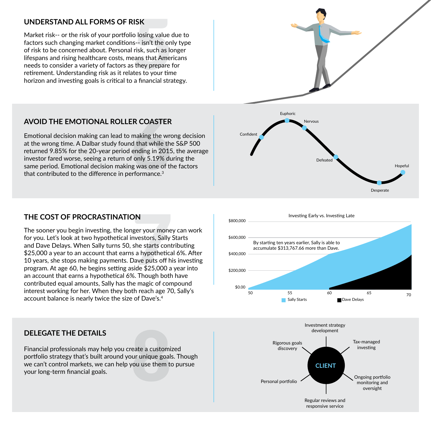**UNDERSTAND ALL FORMS OF RISK**<br>Market risk-- or the risk of your portfolio losing value of<br>factors such changing market conditions-- isn't the on<br>of risk to be concerned about. Personal risk, such as lo<br>lifespans and risin Market risk-- or the risk of your portfolio losing value due to factors such changing market conditions-- isn't the only type of risk to be concerned about. Personal risk, such as longer lifespans and rising healthcare costs, means that Americans needs to consider a variety of factors as they prepare for retirement. Understanding risk as it relates to your time horizon and investing goals is critical to a financial strategy.



**AVOID THE EMOTIONAL ROLLER COASTER**<br>Emotional decision making can lead to making the wre<br>at the wrong time. A Dalbar study found that while the<br>returned 9.85% for the 20-year period ending in 2015<br>investor fared worse, se Emotional decision making can lead to making the wrong decision at the wrong time. A Dalbar study found that while the S&P 500 returned 9.85% for the 20-year period ending in 2015, the average investor fared worse, seeing a return of only 5.19% during the same period. Emotional decision making was one of the factors that contributed to the difference in performance.<sup>3</sup>

**THE COST OF PROCRASTINATION**<br>The sooner you begin investing, the longer your mone<br>for you. Let's look at two hypothetical investors, Sally :<br>and Dave Delays. When Sally turns 50, she starts cont<br>\$25,000 a year to an accou The sooner you begin investing, the longer your money can work for you. Let's look at two hypothetical investors, Sally Starts and Dave Delays. When Sally turns 50, she starts contributing \$25,000 a year to an account that earns a hypothetical 6%. After 10 years, she stops making payments. Dave puts off his investing program. At age 60, he begins setting aside \$25,000 a year into an account that earns a hypothetical 6%. Though both have contributed equal amounts, Sally has the magic of compound interest working for her. When they both reach age 70, Sally's







**DELEGATE THE DETAILS**<br>Financial professionals may help you create a customi<br>portfolio strategy that's built around your unique goal<br>we can't control markets, we can help you use them to<br>your long-term financial goals. Financial professionals may help you create a customized portfolio strategy that's built around your unique goals. Though we can't control markets, we can help you use them to pursue your long-term financial goals.